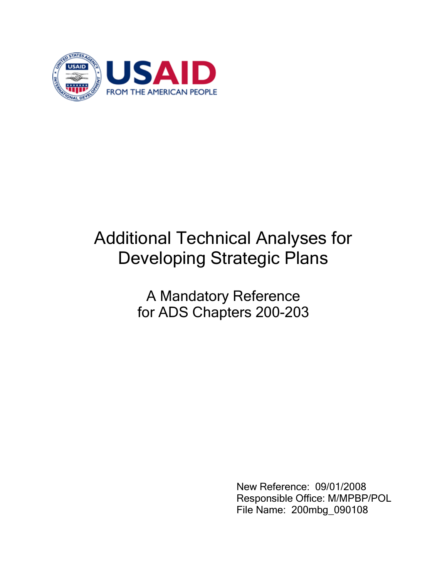

# Additional Technical Analyses for Developing Strategic Plans

A Mandatory Reference for ADS Chapters 200-203

> New Reference: 09/01/2008 Responsible Office: M/MPBP/POL File Name: 200mbg\_090108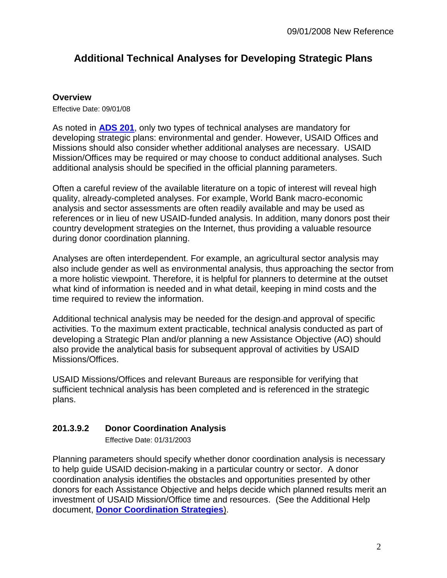# **Additional Technical Analyses for Developing Strategic Plans**

#### **Overview**

Effective Date: 09/01/08

As noted in **[ADS 201](http://www.usaid.gov/policy/ads/200/201.pdf)**, only two types of technical analyses are mandatory for developing strategic plans: environmental and gender. However, USAID Offices and Missions should also consider whether additional analyses are necessary. USAID Mission/Offices may be required or may choose to conduct additional analyses. Such additional analysis should be specified in the official planning parameters.

Often a careful review of the available literature on a topic of interest will reveal high quality, already-completed analyses. For example, World Bank macro-economic analysis and sector assessments are often readily available and may be used as references or in lieu of new USAID-funded analysis. In addition, many donors post their country development strategies on the Internet, thus providing a valuable resource during donor coordination planning.

Analyses are often interdependent. For example, an agricultural sector analysis may also include gender as well as environmental analysis, thus approaching the sector from a more holistic viewpoint. Therefore, it is helpful for planners to determine at the outset what kind of information is needed and in what detail, keeping in mind costs and the time required to review the information.

Additional technical analysis may be needed for the design and approval of specific activities. To the maximum extent practicable, technical analysis conducted as part of developing a Strategic Plan and/or planning a new Assistance Objective (AO) should also provide the analytical basis for subsequent approval of activities by USAID Missions/Offices.

USAID Missions/Offices and relevant Bureaus are responsible for verifying that sufficient technical analysis has been completed and is referenced in the strategic plans.

## **201.3.9.2 Donor Coordination Analysis**

Effective Date: 01/31/2003

Planning parameters should specify whether donor coordination analysis is necessary to help guide USAID decision-making in a particular country or sector. A donor coordination analysis identifies the obstacles and opportunities presented by other donors for each Assistance Objective and helps decide which planned results merit an investment of USAID Mission/Office time and resources. (See the Additional Help document, **[Donor Coordination Strategies](http://www.usaid.gov/policy/ads/200/200sad.pdf)**).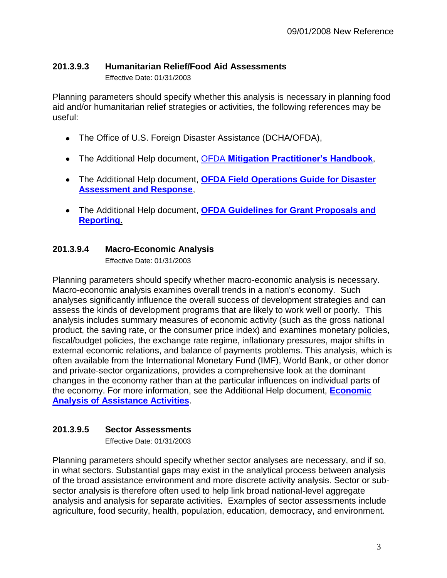#### **201.3.9.3 Humanitarian Relief/Food Aid Assessments**

Effective Date: 01/31/2003

Planning parameters should specify whether this analysis is necessary in planning food aid and/or humanitarian relief strategies or activities, the following references may be useful:

- The Office of U.S. Foreign Disaster Assistance (DCHA/OFDA),
- The Additional Help document, OFDA **[Mitigation Practitioner's Handbook](http://www.usaid.gov/policy/ads/200/hbkoct18.pdf)**,
- The Additional Help document, **[OFDA Field Operations Guide for Disaster](http://www.usaid.gov/our_work/humanitarian_assistance/disaster_assistance/resources/#fog)  [Assessment and Response](http://www.usaid.gov/our_work/humanitarian_assistance/disaster_assistance/resources/#fog)**,
- The Additional Help document, **[OFDA Guidelines for Grant Proposals and](http://www.usaid.gov/policy/ads/200/pvoguide.pdf)  [Reporting](http://www.usaid.gov/policy/ads/200/pvoguide.pdf)**.

### **201.3.9.4 Macro-Economic Analysis**

Effective Date: 01/31/2003

Planning parameters should specify whether macro-economic analysis is necessary. Macro-economic analysis examines overall trends in a nation's economy. Such analyses significantly influence the overall success of development strategies and can assess the kinds of development programs that are likely to work well or poorly. This analysis includes summary measures of economic activity (such as the gross national product, the saving rate, or the consumer price index) and examines monetary policies, fiscal/budget policies, the exchange rate regime, inflationary pressures, major shifts in external economic relations, and balance of payments problems. This analysis, which is often available from the International Monetary Fund (IMF), World Bank, or other donor and private-sector organizations, provides a comprehensive look at the dominant changes in the economy rather than at the particular influences on individual parts of the economy. For more information, see the Additional Help document, **[Economic](http://www.usaid.gov/policy/ads/200/2026s6.pdf)  [Analysis of Assistance Activities](http://www.usaid.gov/policy/ads/200/2026s6.pdf)**.

#### **201.3.9.5 Sector Assessments**

Effective Date: 01/31/2003

Planning parameters should specify whether sector analyses are necessary, and if so, in what sectors. Substantial gaps may exist in the analytical process between analysis of the broad assistance environment and more discrete activity analysis. Sector or subsector analysis is therefore often used to help link broad national-level aggregate analysis and analysis for separate activities. Examples of sector assessments include agriculture, food security, health, population, education, democracy, and environment.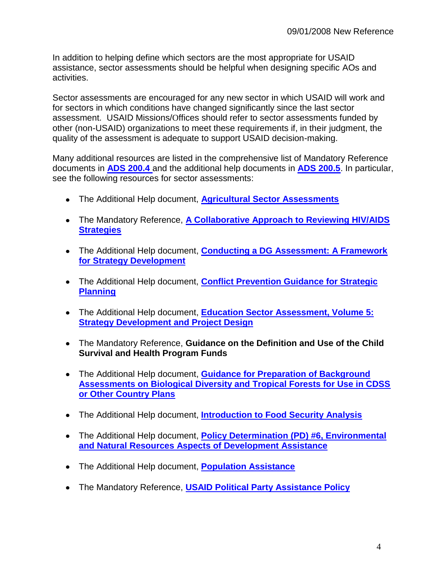In addition to helping define which sectors are the most appropriate for USAID assistance, sector assessments should be helpful when designing specific AOs and activities.

Sector assessments are encouraged for any new sector in which USAID will work and for sectors in which conditions have changed significantly since the last sector assessment. USAID Missions/Offices should refer to sector assessments funded by other (non-USAID) organizations to meet these requirements if, in their judgment, the quality of the assessment is adequate to support USAID decision-making.

Many additional resources are listed in the comprehensive list of Mandatory Reference documents in **[ADS 200.4](http://www.usaid.gov/policy/ads/200/200.pdf)** and the additional help documents in **[ADS 200.5](http://www.usaid.gov/policy/ads/200/200.pdf)**. In particular, see the following resources for sector assessments:

- The Additional Help document, **[Agricultural Sector Assessments](http://www.usaid.gov/policy/ads/200/200san.pdf)**
- The Mandatory Reference, **[A Collaborative Approach to Reviewing HIV/AIDS](http://www.usaid.gov/policy/ads/200/200max.pdf)  [Strategies](http://www.usaid.gov/policy/ads/200/200max.pdf)**
- The Additional Help document, **[Conducting a DG Assessment: A Framework](http://www.usaid.gov/policy/ads/200/pnagc505.pdf)  [for Strategy Development](http://www.usaid.gov/policy/ads/200/pnagc505.pdf)**
- The Additional Help document, **[Conflict Prevention Guidance for Strategic](http://www.usaid.gov/policy/ads/200/200sav.pdf)  [Planning](http://www.usaid.gov/policy/ads/200/200sav.pdf)**
- The Additional Help document, **[Education Sector Assessment, Volume 5:](http://www.usaid.gov/policy/ads/200/200sac.pdf)  [Strategy Development and Project Design](http://www.usaid.gov/policy/ads/200/200sac.pdf)**
- The Mandatory Reference, **Guidance on the Definition and Use of the Child Survival and Health Program Funds**
- The Additional Help document, **[Guidance for Preparation of Background](http://www.usaid.gov/policy/ads/200/200sbh.pdf)  [Assessments on Biological Diversity and Tropical Forests for Use in CDSS](http://www.usaid.gov/policy/ads/200/200sbh.pdf)  [or Other Country Plans](http://www.usaid.gov/policy/ads/200/200sbh.pdf)**
- The Additional Help document, **[Introduction to Food Security Analysis](http://www.usaid.gov/policy/ads/200/200sab.pdf)**
- The Additional Help document, **[Policy Determination \(PD\) #6, Environmental](http://www.usaid.gov/policy/ads/200/pd6.pdf)  [and Natural Resources Aspects of Development Assistance](http://www.usaid.gov/policy/ads/200/pd6.pdf)**
- The Additional Help document, **[Population Assistance](http://www.usaid.gov/policy/ads/200/population/populat.pdf)**
- The Mandatory Reference, **[USAID Political Party Assistance Policy](http://www.usaid.gov/policy/ads/200/200sbd.pdf)**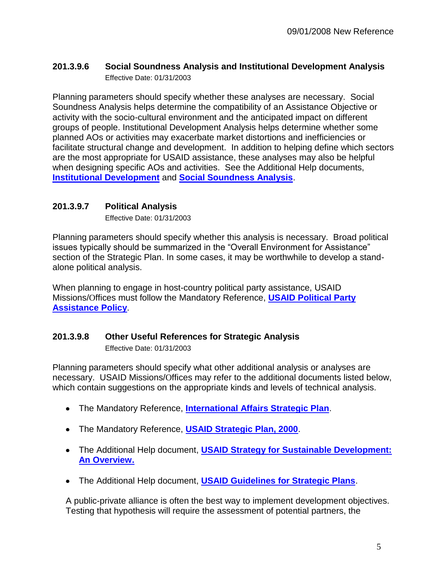#### **201.3.9.6 Social Soundness Analysis and Institutional Development Analysis**  Effective Date: 01/31/2003

Planning parameters should specify whether these analyses are necessary. Social Soundness Analysis helps determine the compatibility of an Assistance Objective or activity with the socio-cultural environment and the anticipated impact on different groups of people. Institutional Development Analysis helps determine whether some planned AOs or activities may exacerbate market distortions and inefficiencies or facilitate structural change and development. In addition to helping define which sectors are the most appropriate for USAID assistance, these analyses may also be helpful when designing specific AOs and activities. See the Additional Help documents, **[Institutional Development](http://www.usaid.gov/policy/ads/200/instdev/instdev.pdf)** and **[Social Soundness Analysis](http://www.usaid.gov/policy/ads/200/2026s7.pdf)**.

#### **201.3.9.7 Political Analysis**

Effective Date: 01/31/2003

Planning parameters should specify whether this analysis is necessary. Broad political issues typically should be summarized in the "Overall Environment for Assistance" section of the Strategic Plan. In some cases, it may be worthwhile to develop a standalone political analysis.

When planning to engage in host-country political party assistance, USAID Missions/Offices must follow the Mandatory Reference, **[USAID Political Party](http://www.usaid.gov/policy/ads/200/200sbd.pdf)  [Assistance Policy](http://www.usaid.gov/policy/ads/200/200sbd.pdf)**.

#### **201.3.9.8 Other Useful References for Strategic Analysis**

Effective Date: 01/31/2003

Planning parameters should specify what other additional analysis or analyses are necessary. USAID Missions/Offices may refer to the additional documents listed below, which contain suggestions on the appropriate kinds and levels of technical analysis.

- The Mandatory Reference, **[International Affairs Strategic Plan](http://www.state.gov/www/global/general_foreign_policy/9903_iasp_1.pdf)**.
- The Mandatory Reference, **[USAID Strategic Plan, 2000](http://www.usaid.gov/policy/ads/200/200mar.pdf)**.
- The Additional Help document, **[USAID Strategy for Sustainable Development:](http://www.usaid.gov/policy/ads/200/200sai.pdf)  [An Overview.](http://www.usaid.gov/policy/ads/200/200sai.pdf)**
- The Additional Help document, **[USAID Guidelines for Strategic Plans](http://www.usaid.gov/policy/ads/200/statplan.pdf)**.

A public-private alliance is often the best way to implement development objectives. Testing that hypothesis will require the assessment of potential partners, the